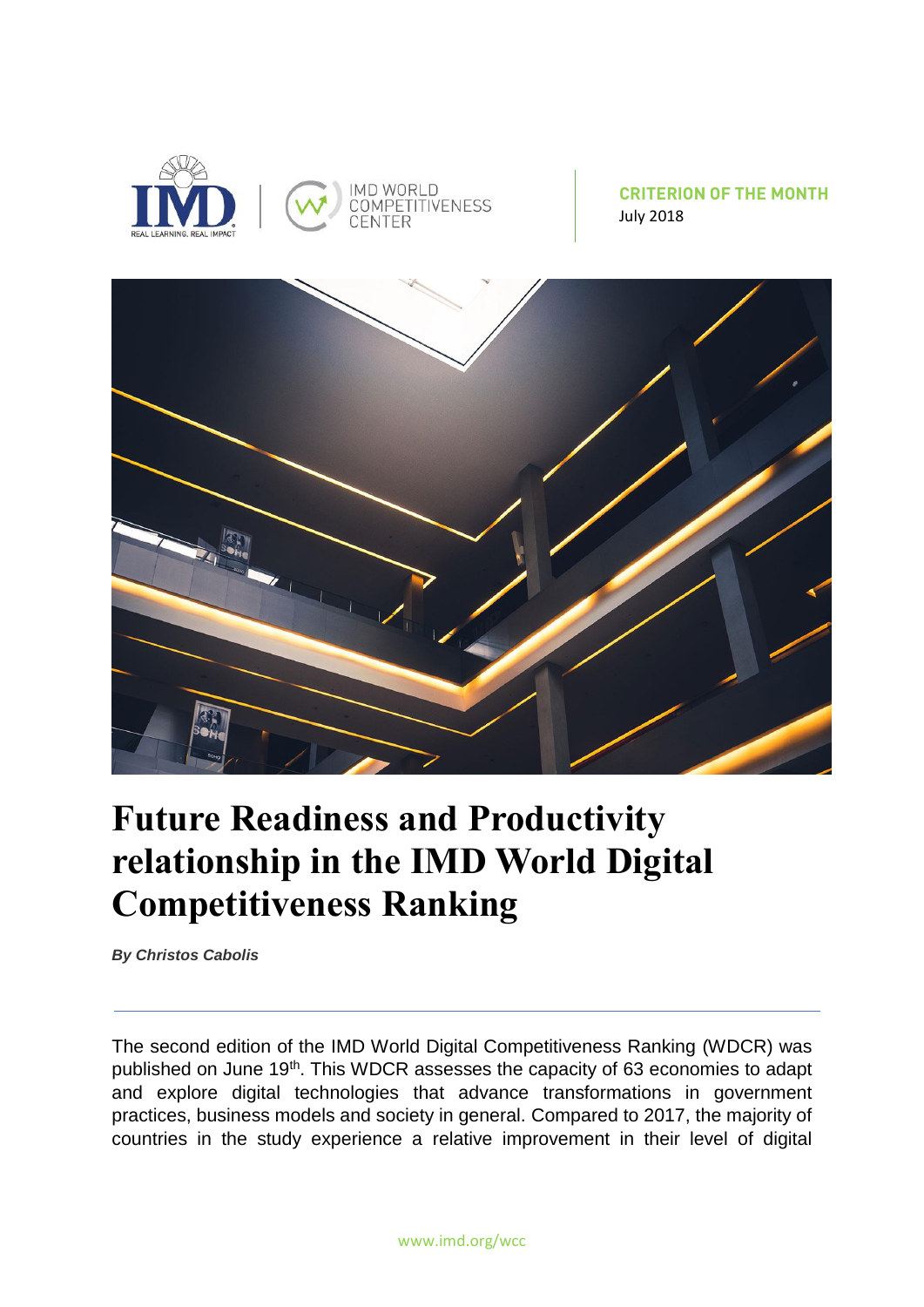



## **Future Readiness and Productivity relationship in the IMD World Digital Competitiveness Ranking**

*By Christos Cabolis*

The second edition of the IMD World Digital Competitiveness Ranking (WDCR) was published on June 19<sup>th</sup>. This WDCR assesses the capacity of 63 economies to adapt and explore digital technologies that advance transformations in government practices, business models and society in general. Compared to 2017, the majority of countries in the study experience a relative improvement in their level of digital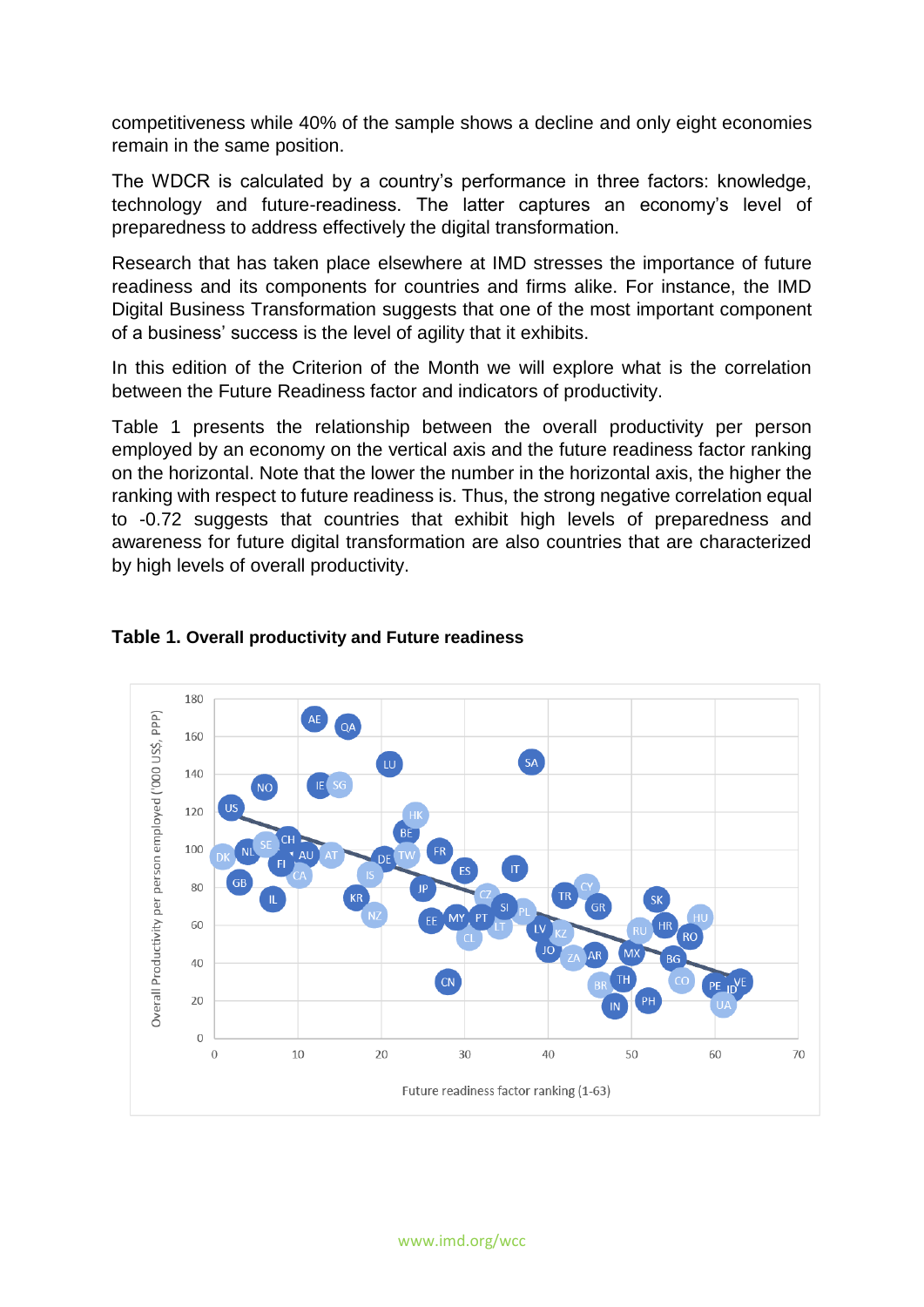competitiveness while 40% of the sample shows a decline and only eight economies remain in the same position.

The WDCR is calculated by a country's performance in three factors: knowledge, technology and future-readiness. The latter captures an economy's level of preparedness to address effectively the digital transformation.

Research that has taken place elsewhere at IMD stresses the importance of future readiness and its components for countries and firms alike. For instance, the IMD Digital Business Transformation suggests that one of the most important component of a business' success is the level of agility that it exhibits.

In this edition of the Criterion of the Month we will explore what is the correlation between the Future Readiness factor and indicators of productivity.

Table 1 presents the relationship between the overall productivity per person employed by an economy on the vertical axis and the future readiness factor ranking on the horizontal. Note that the lower the number in the horizontal axis, the higher the ranking with respect to future readiness is. Thus, the strong negative correlation equal to -0.72 suggests that countries that exhibit high levels of preparedness and awareness for future digital transformation are also countries that are characterized by high levels of overall productivity.



## **Table 1. Overall productivity and Future readiness**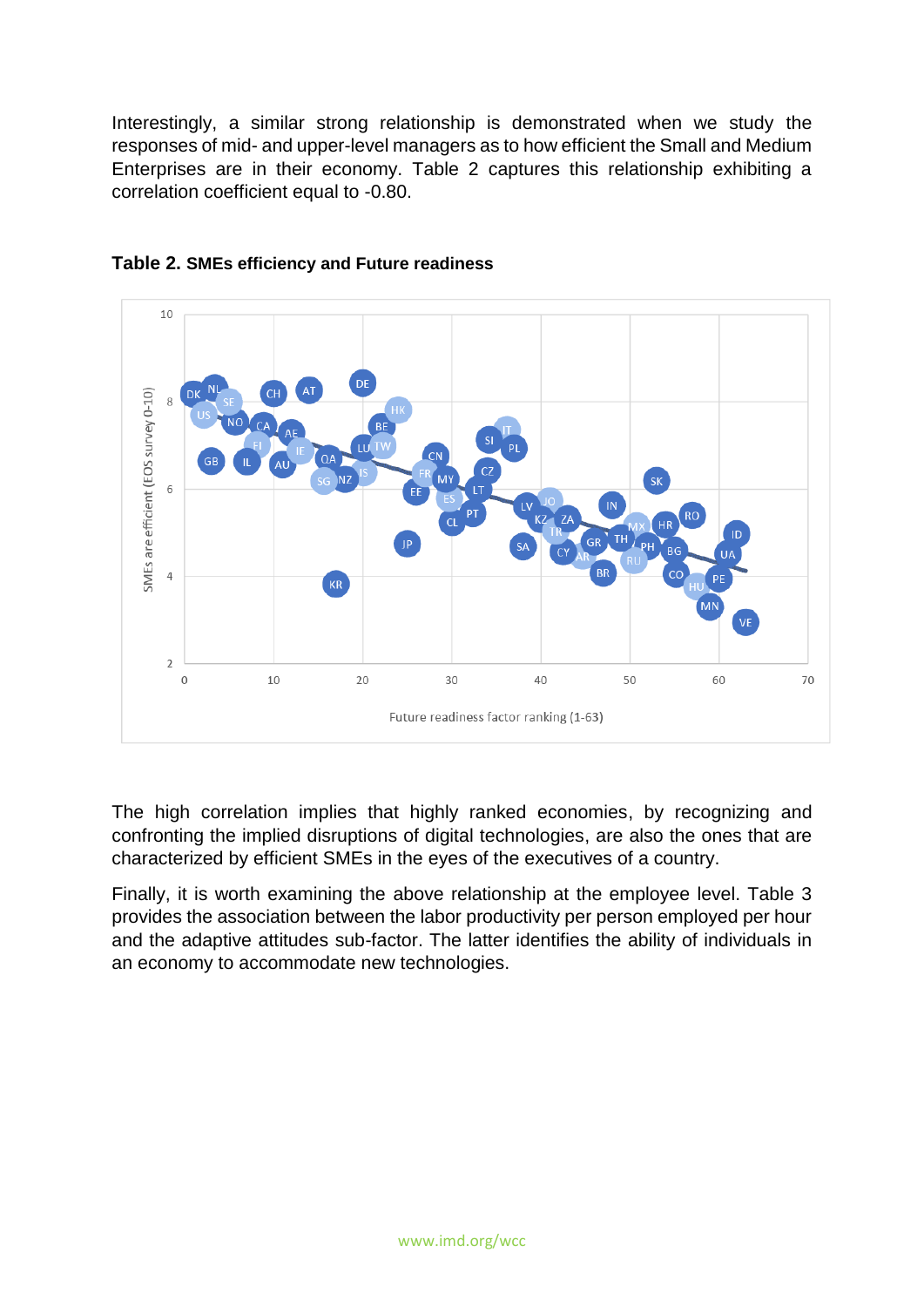Interestingly, a similar strong relationship is demonstrated when we study the responses of mid- and upper-level managers as to how efficient the Small and Medium Enterprises are in their economy. Table 2 captures this relationship exhibiting a correlation coefficient equal to -0.80.



## **Table 2. SMEs efficiency and Future readiness**

The high correlation implies that highly ranked economies, by recognizing and confronting the implied disruptions of digital technologies, are also the ones that are characterized by efficient SMEs in the eyes of the executives of a country.

Finally, it is worth examining the above relationship at the employee level. Table 3 provides the association between the labor productivity per person employed per hour and the adaptive attitudes sub-factor. The latter identifies the ability of individuals in an economy to accommodate new technologies.